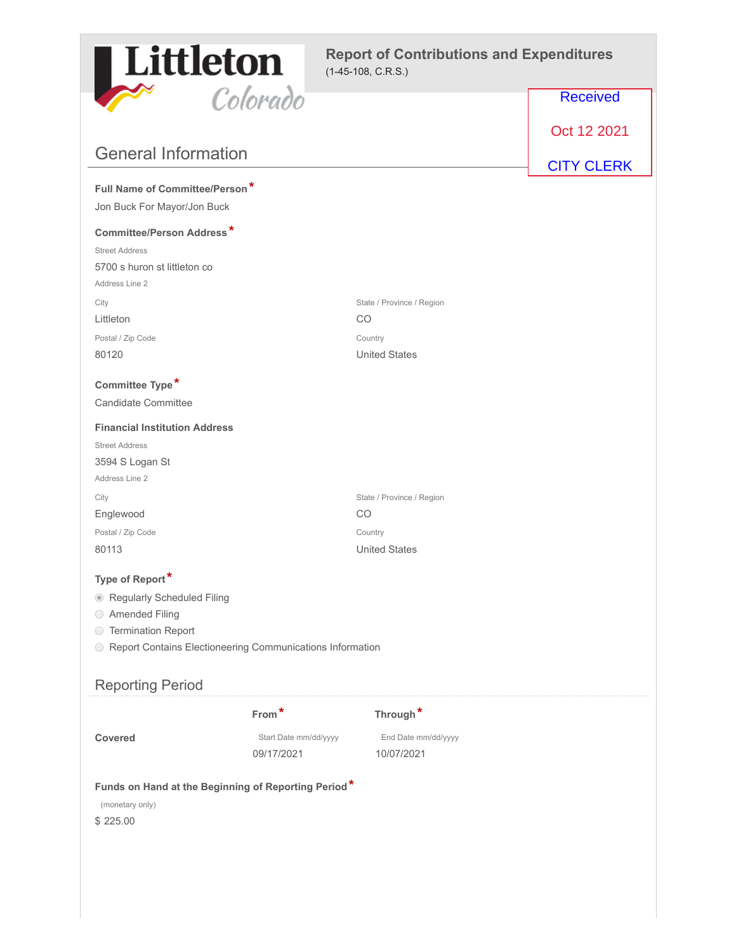

|                                                             | Colorado              |                           | <b>Received</b>   |
|-------------------------------------------------------------|-----------------------|---------------------------|-------------------|
|                                                             |                       |                           | Oct 12 2021       |
| <b>General Information</b>                                  |                       |                           | <b>CITY CLERK</b> |
| Full Name of Committee/Person*                              |                       |                           |                   |
| Jon Buck For Mayor/Jon Buck                                 |                       |                           |                   |
| Committee/Person Address*                                   |                       |                           |                   |
| <b>Street Address</b>                                       |                       |                           |                   |
| 5700 s huron st littleton co                                |                       |                           |                   |
| Address Line 2                                              |                       |                           |                   |
| City                                                        |                       | State / Province / Region |                   |
| Littleton                                                   |                       | CO                        |                   |
| Postal / Zip Code                                           |                       | Country                   |                   |
| 80120                                                       |                       | <b>United States</b>      |                   |
| Committee Type*                                             |                       |                           |                   |
| Candidate Committee                                         |                       |                           |                   |
| <b>Financial Institution Address</b>                        |                       |                           |                   |
| <b>Street Address</b>                                       |                       |                           |                   |
| 3594 S Logan St                                             |                       |                           |                   |
| Address Line 2                                              |                       |                           |                   |
| City                                                        |                       | State / Province / Region |                   |
| Englewood                                                   |                       | CO                        |                   |
| Postal / Zip Code                                           |                       | Country                   |                   |
| 80113                                                       |                       | <b>United States</b>      |                   |
| Type of Report*                                             |                       |                           |                   |
| Regularly Scheduled Filing                                  |                       |                           |                   |
| ◯ Amended Filing                                            |                       |                           |                   |
| ◯ Termination Report                                        |                       |                           |                   |
| O Report Contains Electioneering Communications Information |                       |                           |                   |
|                                                             |                       |                           |                   |
| <b>Reporting Period</b>                                     |                       |                           |                   |
|                                                             | $From*$               | Through*                  |                   |
| Covered                                                     | Start Date mm/dd/yyyy | End Date mm/dd/yyyy       |                   |
|                                                             | 09/17/2021            | 10/07/2021                |                   |
| Funds on Hand at the Beginning of Reporting Period*         |                       |                           |                   |
| (monetary only)                                             |                       |                           |                   |
| \$225.00                                                    |                       |                           |                   |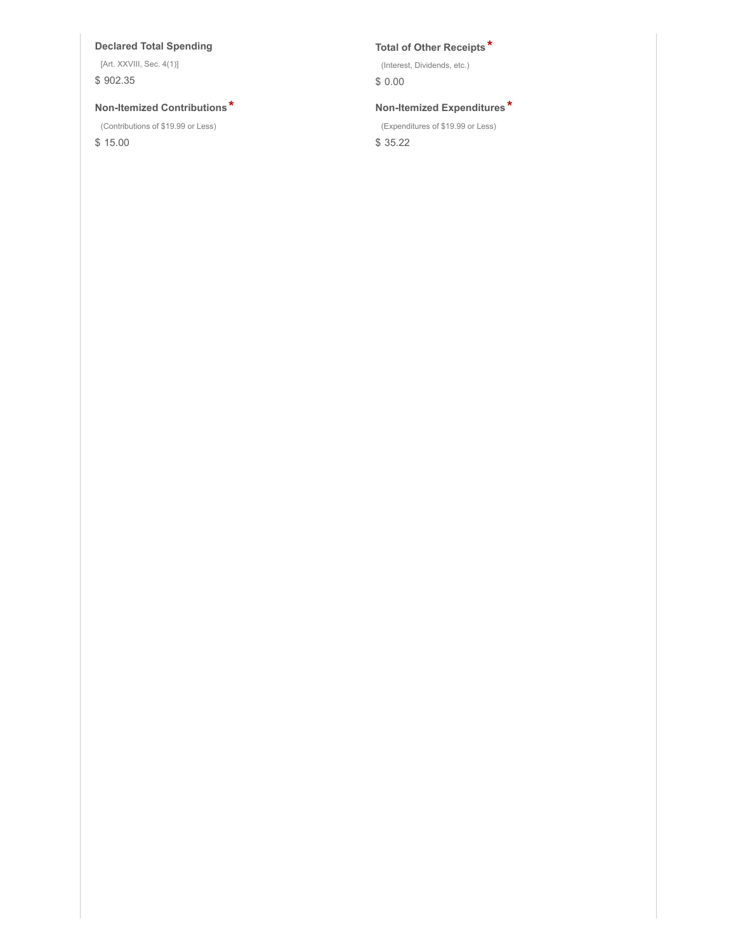## **Declared Total Spending Total of Other Receipts \***

[Art. XXVIII, Sec. 4(1)] \$ 902.35

## **Non-Itemized Contributions \* Non-Itemized Expenditures \***

(Contributions of \$19.99 or Less)

\$ 15.00

(Interest, Dividends, etc.)

\$ 0.00

(Expenditures of \$19.99 or Less)

\$ 35.22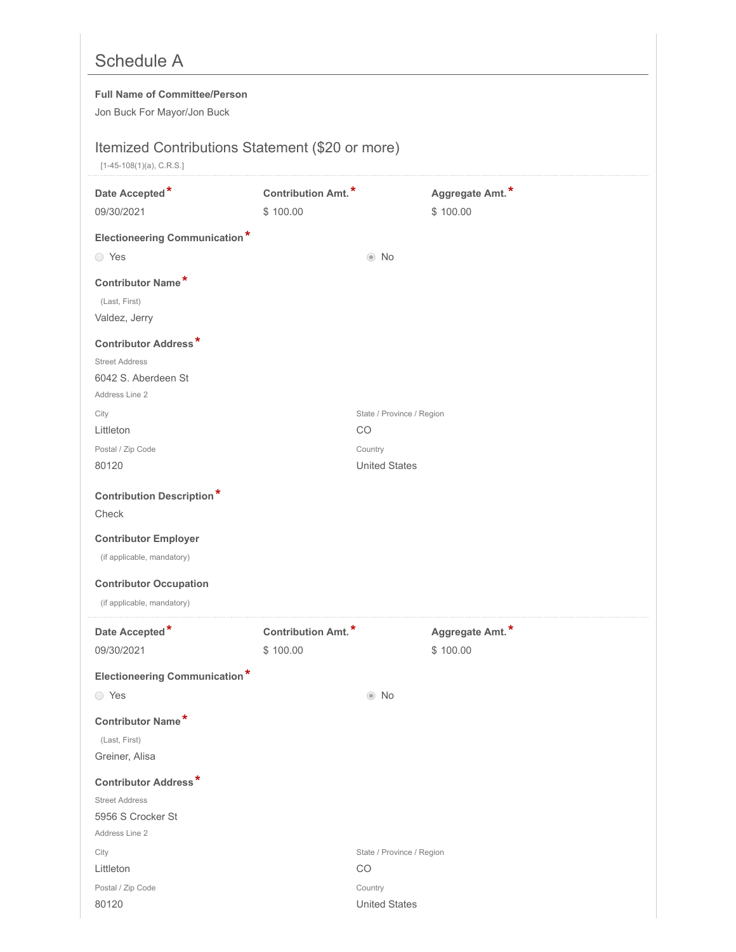# Schedule A

### **Full Name of Committee/Person**

Jon Buck For Mayor/Jon Buck

# Itemized Contributions Statement (\$20 or more)

[1-45-108(1)(a), C.R.S.]

| Date Accepted*<br>09/30/2021         | Contribution Amt.*<br>\$100.00        |                           | Aggregate Amt.*<br>\$100.00 |
|--------------------------------------|---------------------------------------|---------------------------|-----------------------------|
| <b>Electioneering Communication*</b> |                                       |                           |                             |
| ◯ Yes                                |                                       | $\odot$ No                |                             |
| Contributor Name*                    |                                       |                           |                             |
| (Last, First)                        |                                       |                           |                             |
| Valdez, Jerry                        |                                       |                           |                             |
| <b>Contributor Address*</b>          |                                       |                           |                             |
| <b>Street Address</b>                |                                       |                           |                             |
| 6042 S. Aberdeen St                  |                                       |                           |                             |
| Address Line 2                       |                                       |                           |                             |
| City                                 |                                       | State / Province / Region |                             |
| Littleton                            |                                       | CO                        |                             |
| Postal / Zip Code                    |                                       | Country                   |                             |
| 80120                                |                                       | <b>United States</b>      |                             |
| <b>Contribution Description*</b>     |                                       |                           |                             |
| Check                                |                                       |                           |                             |
| <b>Contributor Employer</b>          |                                       |                           |                             |
| (if applicable, mandatory)           |                                       |                           |                             |
| <b>Contributor Occupation</b>        |                                       |                           |                             |
| (if applicable, mandatory)           |                                       |                           |                             |
|                                      |                                       |                           |                             |
| Date Accepted*<br>09/30/2021         | <b>Contribution Amt.*</b><br>\$100.00 |                           | Aggregate Amt.*<br>\$100.00 |
|                                      |                                       |                           |                             |
| <b>Electioneering Communication*</b> |                                       |                           |                             |
| ◯ Yes                                |                                       | $\odot$ No                |                             |
| Contributor Name*                    |                                       |                           |                             |
| (Last, First)                        |                                       |                           |                             |
| Greiner, Alisa                       |                                       |                           |                             |
| <b>Contributor Address*</b>          |                                       |                           |                             |
| <b>Street Address</b>                |                                       |                           |                             |
| 5956 S Crocker St                    |                                       |                           |                             |
| Address Line 2                       |                                       | State / Province / Region |                             |
| City                                 |                                       |                           |                             |
|                                      |                                       | CO                        |                             |
| Littleton<br>Postal / Zip Code       |                                       | Country                   |                             |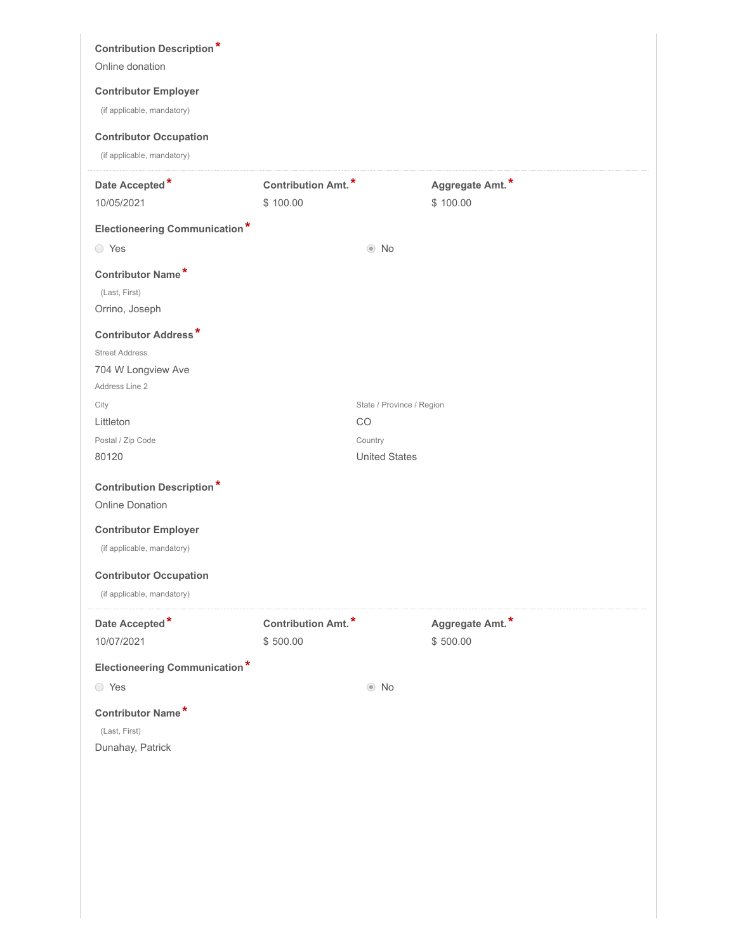| <b>Contribution Description*</b>     |                           |                           |                 |  |
|--------------------------------------|---------------------------|---------------------------|-----------------|--|
| Online donation                      |                           |                           |                 |  |
| <b>Contributor Employer</b>          |                           |                           |                 |  |
| (if applicable, mandatory)           |                           |                           |                 |  |
| <b>Contributor Occupation</b>        |                           |                           |                 |  |
| (if applicable, mandatory)           |                           |                           |                 |  |
| Date Accepted*                       | Contribution Amt.*        |                           | Aggregate Amt.* |  |
| 10/05/2021                           | \$100.00                  |                           | \$100.00        |  |
| <b>Electioneering Communication*</b> |                           |                           |                 |  |
| ◯ Yes                                |                           | $\odot$ No                |                 |  |
| Contributor Name*                    |                           |                           |                 |  |
| (Last, First)                        |                           |                           |                 |  |
| Orrino, Joseph                       |                           |                           |                 |  |
| <b>Contributor Address*</b>          |                           |                           |                 |  |
| <b>Street Address</b>                |                           |                           |                 |  |
| 704 W Longview Ave                   |                           |                           |                 |  |
| Address Line 2                       |                           |                           |                 |  |
| City                                 |                           | State / Province / Region |                 |  |
| Littleton                            |                           | CO                        |                 |  |
| Postal / Zip Code                    |                           | Country                   |                 |  |
| 80120                                |                           | <b>United States</b>      |                 |  |
| <b>Contribution Description*</b>     |                           |                           |                 |  |
| <b>Online Donation</b>               |                           |                           |                 |  |
| <b>Contributor Employer</b>          |                           |                           |                 |  |
| (if applicable, mandatory)           |                           |                           |                 |  |
| <b>Contributor Occupation</b>        |                           |                           |                 |  |
| (if applicable, mandatory)           |                           |                           |                 |  |
|                                      |                           |                           |                 |  |
| Date Accepted*                       | <b>Contribution Amt.*</b> |                           | Aggregate Amt.* |  |
| 10/07/2021                           | \$500.00                  |                           | \$500.00        |  |
| <b>Electioneering Communication*</b> |                           |                           |                 |  |
| ◯ Yes                                |                           | $\odot$ No                |                 |  |
| Contributor Name*                    |                           |                           |                 |  |
|                                      |                           |                           |                 |  |
| (Last, First)                        |                           |                           |                 |  |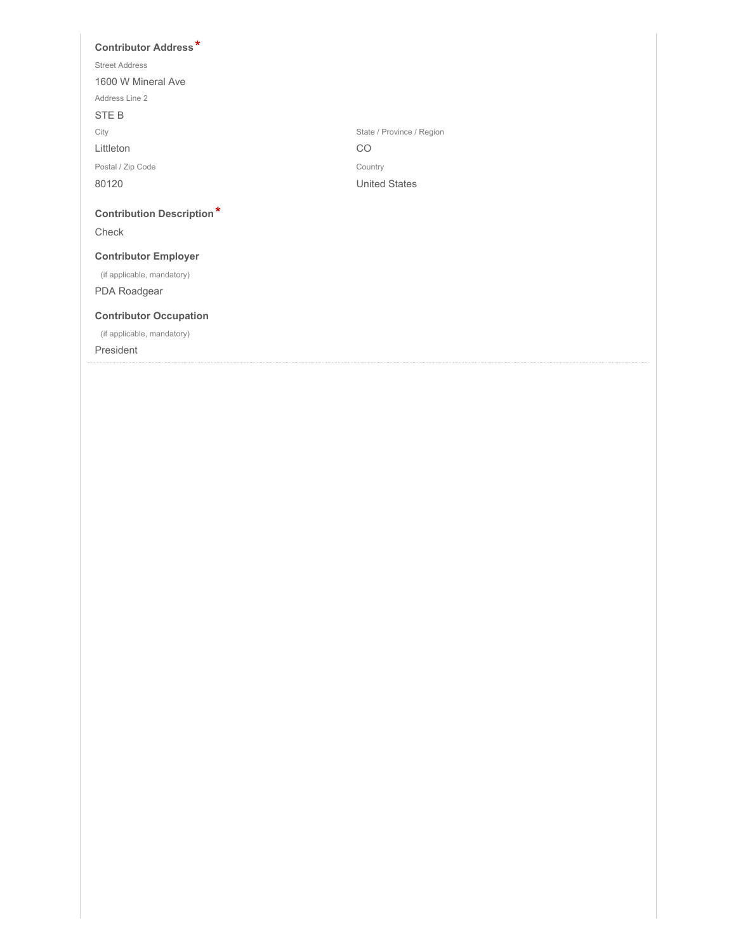### **Contributor Address \***

| <b>Street Address</b>                     |                           |
|-------------------------------------------|---------------------------|
| 1600 W Mineral Ave                        |                           |
| Address Line 2                            |                           |
| STE B                                     |                           |
| City                                      | State / Province / Region |
| Littleton                                 | CO                        |
| Postal / Zip Code                         | Country                   |
| 80120                                     | <b>United States</b>      |
| <b>Contribution Description*</b><br>Check |                           |
| <b>Contributor Employer</b>               |                           |
| (if applicable, mandatory)                |                           |
| PDA Roadgear                              |                           |
| <b>Contributor Occupation</b>             |                           |

President

(if applicable, mandatory)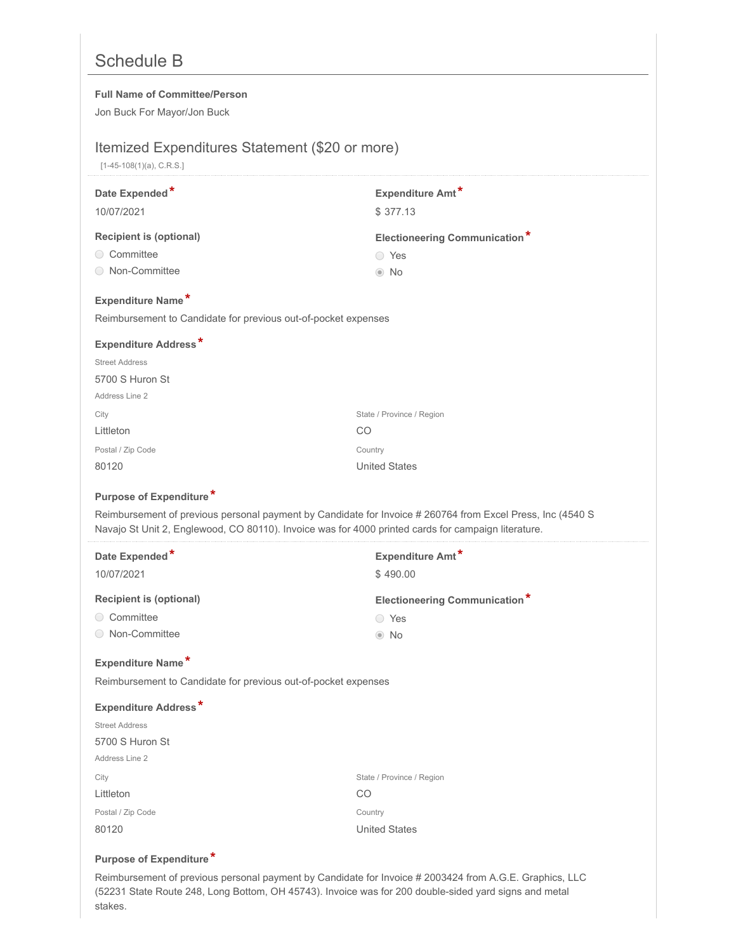# Schedule B

#### **Full Name of Committee/Person**

Jon Buck For Mayor/Jon Buck

# Itemized Expenditures Statement (\$20 or more)

[1-45-108(1)(a), C.R.S.]

|                                                                                                                                                                                                                   | Expenditure Amt*                     |
|-------------------------------------------------------------------------------------------------------------------------------------------------------------------------------------------------------------------|--------------------------------------|
| 10/07/2021                                                                                                                                                                                                        | \$377.13                             |
| <b>Recipient is (optional)</b>                                                                                                                                                                                    | <b>Electioneering Communication*</b> |
| ◯ Committee                                                                                                                                                                                                       | ◯ Yes                                |
| ◯ Non-Committee                                                                                                                                                                                                   | $\odot$ No                           |
| Expenditure Name*                                                                                                                                                                                                 |                                      |
| Reimbursement to Candidate for previous out-of-pocket expenses                                                                                                                                                    |                                      |
| <b>Expenditure Address*</b>                                                                                                                                                                                       |                                      |
| <b>Street Address</b>                                                                                                                                                                                             |                                      |
| 5700 S Huron St                                                                                                                                                                                                   |                                      |
| Address Line 2                                                                                                                                                                                                    |                                      |
| City                                                                                                                                                                                                              | State / Province / Region            |
| Littleton                                                                                                                                                                                                         | CO                                   |
| Postal / Zip Code                                                                                                                                                                                                 | Country                              |
| 80120                                                                                                                                                                                                             | <b>United States</b>                 |
| Purpose of Expenditure*                                                                                                                                                                                           |                                      |
| Reimbursement of previous personal payment by Candidate for Invoice # 260764 from Excel Press, Inc (4540 S<br>Navajo St Unit 2, Englewood, CO 80110). Invoice was for 4000 printed cards for campaign literature. |                                      |
| Date Expended*                                                                                                                                                                                                    | Expenditure Amt*                     |
|                                                                                                                                                                                                                   |                                      |
| 10/07/2021                                                                                                                                                                                                        | \$490.00                             |
| <b>Recipient is (optional)</b>                                                                                                                                                                                    | <b>Electioneering Communication*</b> |
| ◯ Committee                                                                                                                                                                                                       | ◯ Yes                                |
| ◯ Non-Committee                                                                                                                                                                                                   | $\odot$ No                           |
| Expenditure Name*                                                                                                                                                                                                 |                                      |
| Reimbursement to Candidate for previous out-of-pocket expenses                                                                                                                                                    |                                      |
| <b>Expenditure Address*</b>                                                                                                                                                                                       |                                      |
| <b>Street Address</b>                                                                                                                                                                                             |                                      |
| 5700 S Huron St                                                                                                                                                                                                   |                                      |
| Address Line 2                                                                                                                                                                                                    |                                      |
| City                                                                                                                                                                                                              | State / Province / Region            |
| Littleton                                                                                                                                                                                                         | CO                                   |
| Postal / Zip Code                                                                                                                                                                                                 | Country                              |

### **Purpose of Expenditure \***

Reimbursement of previous personal payment by Candidate for Invoice # 2003424 from A.G.E. Graphics, LLC (52231 State Route 248, Long Bottom, OH 45743). Invoice was for 200 double-sided yard signs and metal stakes.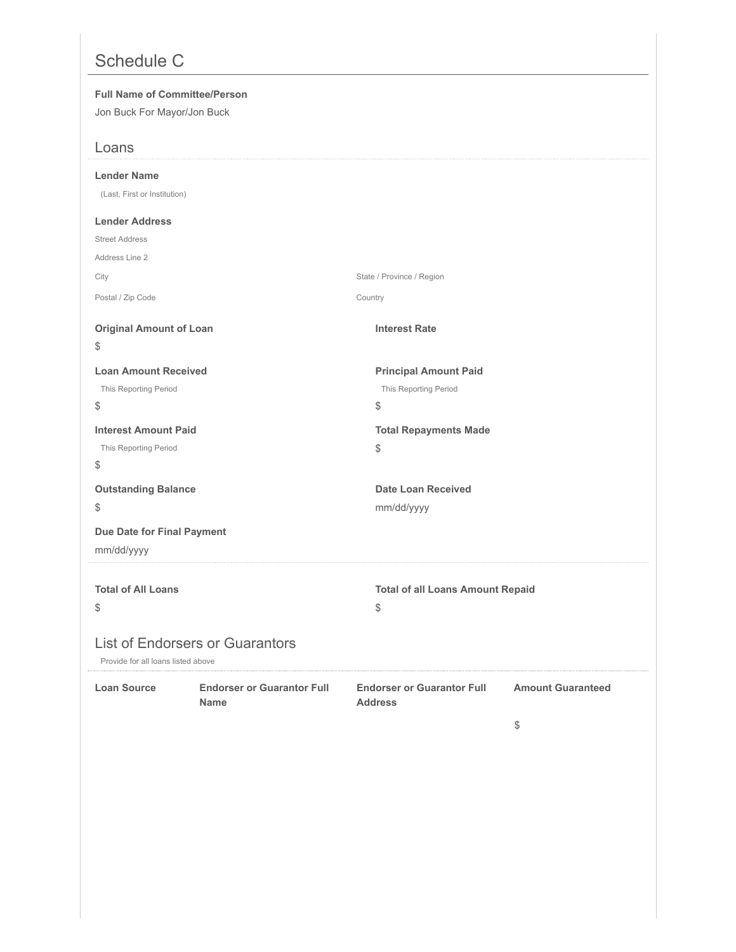# Schedule C

### **Full Name of Committee/Person**

Jon Buck For Mayor/Jon Buck

| Loans                                                                        |                                                     |                          |
|------------------------------------------------------------------------------|-----------------------------------------------------|--------------------------|
| <b>Lender Name</b>                                                           |                                                     |                          |
| (Last, First or Institution)                                                 |                                                     |                          |
| <b>Lender Address</b>                                                        |                                                     |                          |
| <b>Street Address</b>                                                        |                                                     |                          |
| Address Line 2                                                               |                                                     |                          |
| City                                                                         | State / Province / Region                           |                          |
| Postal / Zip Code                                                            | Country                                             |                          |
| <b>Original Amount of Loan</b>                                               | <b>Interest Rate</b>                                |                          |
| \$                                                                           |                                                     |                          |
| <b>Loan Amount Received</b>                                                  | <b>Principal Amount Paid</b>                        |                          |
| This Reporting Period                                                        | This Reporting Period                               |                          |
| \$                                                                           | \$                                                  |                          |
| <b>Interest Amount Paid</b>                                                  | <b>Total Repayments Made</b>                        |                          |
| This Reporting Period                                                        | \$                                                  |                          |
| \$                                                                           |                                                     |                          |
| <b>Outstanding Balance</b>                                                   | <b>Date Loan Received</b>                           |                          |
| \$                                                                           | mm/dd/yyyy                                          |                          |
| Due Date for Final Payment                                                   |                                                     |                          |
| mm/dd/yyyy                                                                   |                                                     |                          |
|                                                                              |                                                     |                          |
| <b>Total of All Loans</b>                                                    | <b>Total of all Loans Amount Repaid</b>             |                          |
| \$                                                                           | \$                                                  |                          |
| <b>List of Endorsers or Guarantors</b><br>Provide for all loans listed above |                                                     |                          |
| Loan Source<br><b>Endorser or Guarantor Full</b><br><b>Name</b>              | <b>Endorser or Guarantor Full</b><br><b>Address</b> | <b>Amount Guaranteed</b> |
|                                                                              |                                                     | \$                       |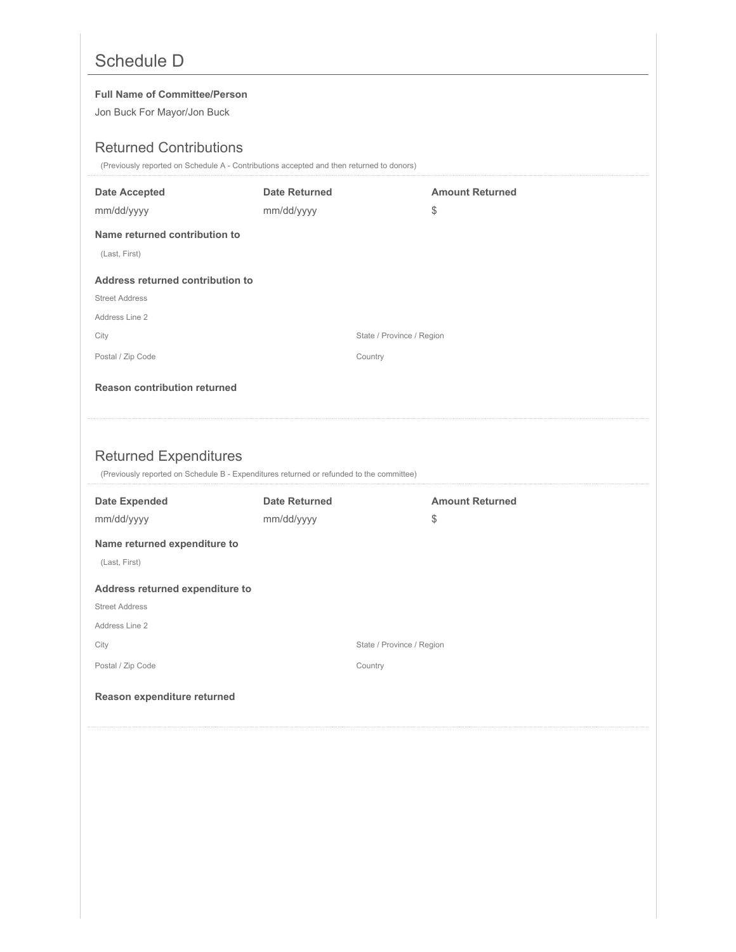# Schedule D

#### **Full Name of Committee/Person**

Jon Buck For Mayor/Jon Buck

# Returned Contributions

(Previously reported on Schedule A - Contributions accepted and then returned to donors)

| <b>Date Accepted</b>                | <b>Date Returned</b>                                                                     | <b>Amount Returned</b> |
|-------------------------------------|------------------------------------------------------------------------------------------|------------------------|
| mm/dd/yyyy                          | mm/dd/yyyy                                                                               | \$                     |
| Name returned contribution to       |                                                                                          |                        |
| (Last, First)                       |                                                                                          |                        |
| Address returned contribution to    |                                                                                          |                        |
| <b>Street Address</b>               |                                                                                          |                        |
| Address Line 2                      |                                                                                          |                        |
| City                                | State / Province / Region                                                                |                        |
| Postal / Zip Code                   | Country                                                                                  |                        |
| <b>Reason contribution returned</b> |                                                                                          |                        |
|                                     |                                                                                          |                        |
|                                     |                                                                                          |                        |
|                                     |                                                                                          |                        |
|                                     |                                                                                          |                        |
| <b>Returned Expenditures</b>        | (Previously reported on Schedule B - Expenditures returned or refunded to the committee) |                        |
| <b>Date Expended</b>                | <b>Date Returned</b>                                                                     | <b>Amount Returned</b> |
| mm/dd/yyyy                          | mm/dd/yyyy                                                                               | \$                     |
| Name returned expenditure to        |                                                                                          |                        |
| (Last, First)                       |                                                                                          |                        |
| Address returned expenditure to     |                                                                                          |                        |
| <b>Street Address</b>               |                                                                                          |                        |
| Address Line 2                      |                                                                                          |                        |
| City                                | State / Province / Region                                                                |                        |
| Postal / Zip Code                   | Country                                                                                  |                        |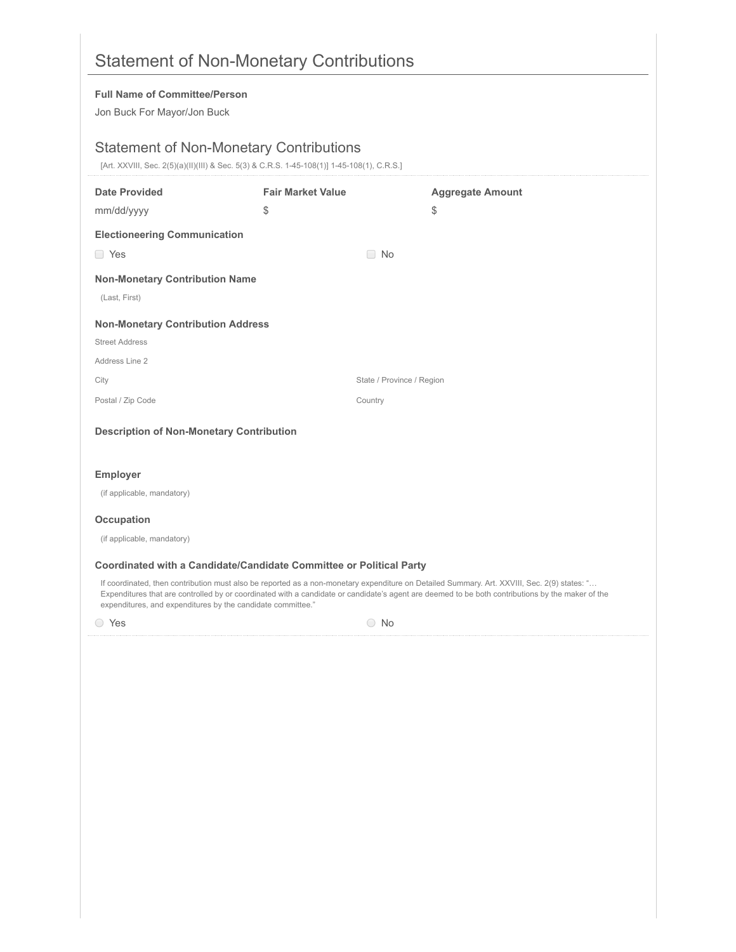| <b>Full Name of Committee/Person</b>                        |                                                                                                                                              |                                                                                                                                                                                                                                                                                                 |
|-------------------------------------------------------------|----------------------------------------------------------------------------------------------------------------------------------------------|-------------------------------------------------------------------------------------------------------------------------------------------------------------------------------------------------------------------------------------------------------------------------------------------------|
| Jon Buck For Mayor/Jon Buck                                 |                                                                                                                                              |                                                                                                                                                                                                                                                                                                 |
|                                                             | <b>Statement of Non-Monetary Contributions</b><br>[Art. XXVIII, Sec. 2(5)(a)(II)(III) & Sec. 5(3) & C.R.S. 1-45-108(1)] 1-45-108(1), C.R.S.] |                                                                                                                                                                                                                                                                                                 |
| <b>Date Provided</b>                                        | <b>Fair Market Value</b>                                                                                                                     | <b>Aggregate Amount</b>                                                                                                                                                                                                                                                                         |
| mm/dd/yyyy                                                  | \$                                                                                                                                           | \$                                                                                                                                                                                                                                                                                              |
| <b>Electioneering Communication</b>                         |                                                                                                                                              |                                                                                                                                                                                                                                                                                                 |
| □ Yes                                                       | $\Box$ No                                                                                                                                    |                                                                                                                                                                                                                                                                                                 |
| <b>Non-Monetary Contribution Name</b>                       |                                                                                                                                              |                                                                                                                                                                                                                                                                                                 |
| (Last, First)                                               |                                                                                                                                              |                                                                                                                                                                                                                                                                                                 |
| <b>Non-Monetary Contribution Address</b>                    |                                                                                                                                              |                                                                                                                                                                                                                                                                                                 |
| <b>Street Address</b>                                       |                                                                                                                                              |                                                                                                                                                                                                                                                                                                 |
| Address Line 2                                              |                                                                                                                                              |                                                                                                                                                                                                                                                                                                 |
| City                                                        |                                                                                                                                              | State / Province / Region                                                                                                                                                                                                                                                                       |
| Postal / Zip Code                                           | Country                                                                                                                                      |                                                                                                                                                                                                                                                                                                 |
| <b>Description of Non-Monetary Contribution</b>             |                                                                                                                                              |                                                                                                                                                                                                                                                                                                 |
|                                                             |                                                                                                                                              |                                                                                                                                                                                                                                                                                                 |
| <b>Employer</b>                                             |                                                                                                                                              |                                                                                                                                                                                                                                                                                                 |
| (if applicable, mandatory)                                  |                                                                                                                                              |                                                                                                                                                                                                                                                                                                 |
| <b>Occupation</b>                                           |                                                                                                                                              |                                                                                                                                                                                                                                                                                                 |
| (if applicable, mandatory)                                  |                                                                                                                                              |                                                                                                                                                                                                                                                                                                 |
|                                                             | Coordinated with a Candidate/Candidate Committee or Political Party                                                                          |                                                                                                                                                                                                                                                                                                 |
| expenditures, and expenditures by the candidate committee." |                                                                                                                                              | If coordinated, then contribution must also be reported as a non-monetary expenditure on Detailed Summary. Art. XXVIII, Sec. 2(9) states: "<br>Expenditures that are controlled by or coordinated with a candidate or candidate's agent are deemed to be both contributions by the maker of the |
| ○ Yes                                                       |                                                                                                                                              | $\bigcirc$ No                                                                                                                                                                                                                                                                                   |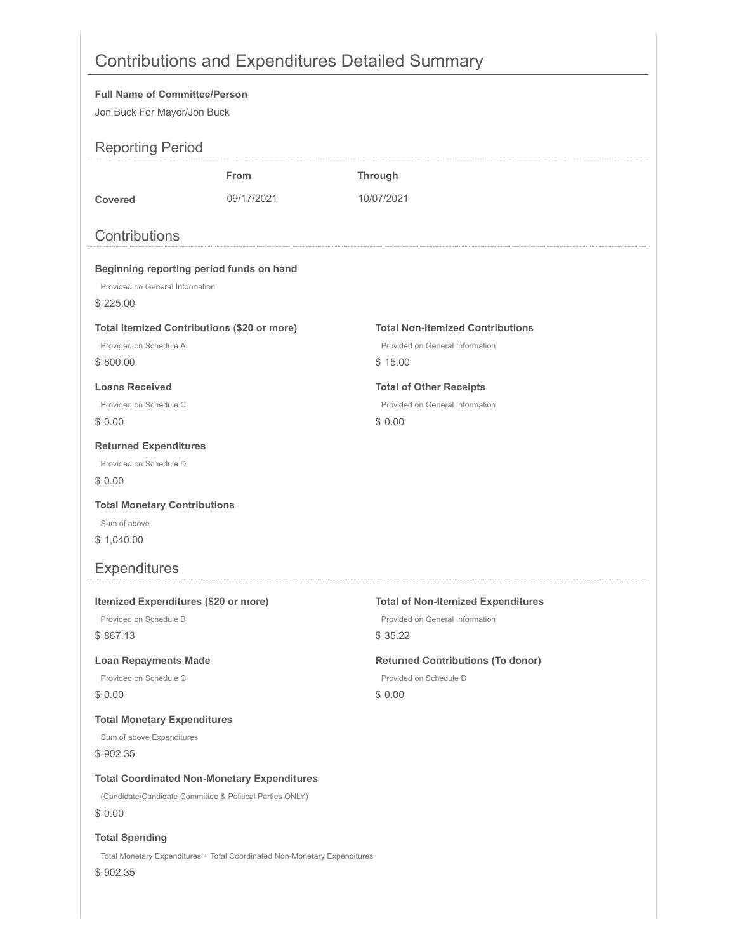# Contributions and Expenditures Detailed Summary

### **Full Name of Committee/Person**

Jon Buck For Mayor/Jon Buck

| <b>OUT DUCK</b> I OF MAYOROUT DUCK                                                                                                            |                                                                           |                                                                                                                                                                         |
|-----------------------------------------------------------------------------------------------------------------------------------------------|---------------------------------------------------------------------------|-------------------------------------------------------------------------------------------------------------------------------------------------------------------------|
| <b>Reporting Period</b>                                                                                                                       |                                                                           |                                                                                                                                                                         |
|                                                                                                                                               | <b>From</b>                                                               | <b>Through</b>                                                                                                                                                          |
| <b>Covered</b>                                                                                                                                | 09/17/2021                                                                | 10/07/2021                                                                                                                                                              |
| Contributions                                                                                                                                 |                                                                           |                                                                                                                                                                         |
| Beginning reporting period funds on hand<br>Provided on General Information<br>\$225.00                                                       |                                                                           |                                                                                                                                                                         |
| <b>Total Itemized Contributions (\$20 or more)</b><br>Provided on Schedule A<br>\$800.00                                                      |                                                                           | <b>Total Non-Itemized Contributions</b><br>Provided on General Information<br>\$15.00                                                                                   |
| <b>Loans Received</b><br>Provided on Schedule C<br>\$0.00                                                                                     |                                                                           | <b>Total of Other Receipts</b><br>Provided on General Information<br>\$0.00                                                                                             |
| <b>Returned Expenditures</b><br>Provided on Schedule D<br>\$0.00                                                                              |                                                                           |                                                                                                                                                                         |
| <b>Total Monetary Contributions</b><br>Sum of above<br>\$1,040.00                                                                             |                                                                           |                                                                                                                                                                         |
| <b>Expenditures</b>                                                                                                                           |                                                                           |                                                                                                                                                                         |
| Itemized Expenditures (\$20 or more)<br>Provided on Schedule B<br>\$867.13<br><b>Loan Repayments Made</b><br>Provided on Schedule C<br>\$0.00 |                                                                           | <b>Total of Non-Itemized Expenditures</b><br>Provided on General Information<br>\$35.22<br><b>Returned Contributions (To donor)</b><br>Provided on Schedule D<br>\$0.00 |
| <b>Total Monetary Expenditures</b><br>Sum of above Expenditures<br>\$902.35                                                                   |                                                                           |                                                                                                                                                                         |
| <b>Total Coordinated Non-Monetary Expenditures</b><br>(Candidate/Candidate Committee & Political Parties ONLY)<br>\$0.00                      |                                                                           |                                                                                                                                                                         |
| <b>Total Spending</b><br>\$902.35                                                                                                             | Total Monetary Expenditures + Total Coordinated Non-Monetary Expenditures |                                                                                                                                                                         |